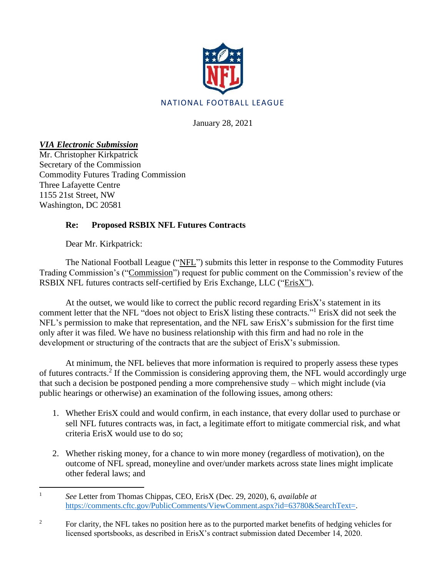

January 28, 2021

*VIA Electronic Submission*

Mr. Christopher Kirkpatrick Secretary of the Commission Commodity Futures Trading Commission Three Lafayette Centre 1155 21st Street, NW Washington, DC 20581

## **Re: Proposed RSBIX NFL Futures Contracts**

Dear Mr. Kirkpatrick:

The National Football League ("NFL") submits this letter in response to the Commodity Futures Trading Commission's ("Commission") request for public comment on the Commission's review of the RSBIX NFL futures contracts self-certified by Eris Exchange, LLC ("ErisX").

At the outset, we would like to correct the public record regarding ErisX's statement in its comment letter that the NFL "does not object to ErisX listing these contracts."<sup>1</sup> ErisX did not seek the NFL's permission to make that representation, and the NFL saw ErisX's submission for the first time only after it was filed. We have no business relationship with this firm and had no role in the development or structuring of the contracts that are the subject of ErisX's submission.

At minimum, the NFL believes that more information is required to properly assess these types of futures contracts.<sup>2</sup> If the Commission is considering approving them, the NFL would accordingly urge that such a decision be postponed pending a more comprehensive study – which might include (via public hearings or otherwise) an examination of the following issues, among others:

- 1. Whether ErisX could and would confirm, in each instance, that every dollar used to purchase or sell NFL futures contracts was, in fact, a legitimate effort to mitigate commercial risk, and what criteria ErisX would use to do so;
- 2. Whether risking money, for a chance to win more money (regardless of motivation), on the outcome of NFL spread, moneyline and over/under markets across state lines might implicate other federal laws; and
- <sup>1</sup> *See* Letter from Thomas Chippas, CEO, ErisX (Dec. 29, 2020), 6, *available at* [https://comments.cftc.gov/PublicComments/ViewComment.aspx?id=63780&SearchText=.](https://comments.cftc.gov/PublicComments/ViewComment.aspx?id=63780&SearchText)
- <sup>2</sup> For clarity, the NFL takes no position here as to the purported market benefits of hedging vehicles for licensed sportsbooks, as described in ErisX's contract submission dated December 14, 2020.